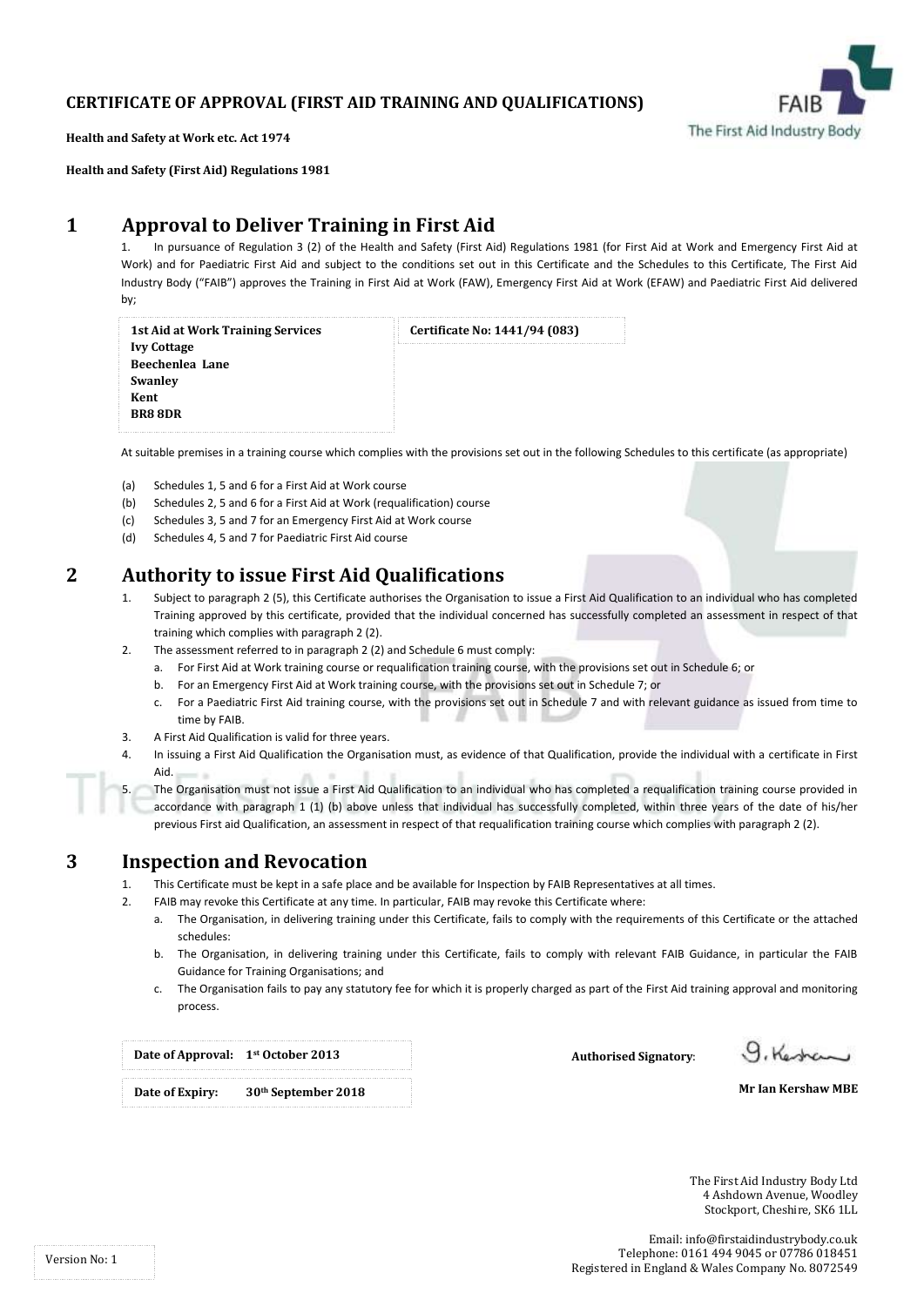## **CERTIFICATE OF APPROVAL (FIRST AID TRAINING AND QUALIFICATIONS)**



**Health and Safety at Work etc. Act 1974**

**Health and Safety (First Aid) Regulations 1981**

## **1 Approval to Deliver Training in First Aid**

In pursuance of Regulation 3 (2) of the Health and Safety (First Aid) Regulations 1981 (for First Aid at Work and Emergency First Aid at Work) and for Paediatric First Aid and subject to the conditions set out in this Certificate and the Schedules to this Certificate, The First Aid Industry Body ("FAIB") approves the Training in First Aid at Work (FAW), Emergency First Aid at Work (EFAW) and Paediatric First Aid delivered by;

| <b>1st Aid at Work Training Services</b> |
|------------------------------------------|
| <b>Ivy Cottage</b>                       |
| Beechenlea Lane                          |
| <b>Swanley</b>                           |
| Kent                                     |
| <b>BR8 8DR</b>                           |
|                                          |

**Certificate No: 1441/94 (083)**

At suitable premises in a training course which complies with the provisions set out in the following Schedules to this certificate (as appropriate)

- (a) Schedules 1, 5 and 6 for a First Aid at Work course
- (b) Schedules 2, 5 and 6 for a First Aid at Work (requalification) course
- (c) Schedules 3, 5 and 7 for an Emergency First Aid at Work course
- (d) Schedules 4, 5 and 7 for Paediatric First Aid course

## **2 Authority to issue First Aid Qualifications**

- 1. Subject to paragraph 2 (5), this Certificate authorises the Organisation to issue a First Aid Qualification to an individual who has completed Training approved by this certificate, provided that the individual concerned has successfully completed an assessment in respect of that training which complies with paragraph 2 (2).
- 2. The assessment referred to in paragraph 2 (2) and Schedule 6 must comply:
	- a. For First Aid at Work training course or requalification training course, with the provisions set out in Schedule 6; or
	- b. For an Emergency First Aid at Work training course, with the provisions set out in Schedule 7; or
	- c. For a Paediatric First Aid training course, with the provisions set out in Schedule 7 and with relevant guidance as issued from time to time by FAIB.
- 3. A First Aid Qualification is valid for three years.
- 4. In issuing a First Aid Qualification the Organisation must, as evidence of that Qualification, provide the individual with a certificate in First Aid.
	- 5. The Organisation must not issue a First Aid Qualification to an individual who has completed a requalification training course provided in accordance with paragraph 1 (1) (b) above unless that individual has successfully completed, within three years of the date of his/her previous First aid Qualification, an assessment in respect of that requalification training course which complies with paragraph 2 (2).

## **3 Inspection and Revocation**

- 1. This Certificate must be kept in a safe place and be available for Inspection by FAIB Representatives at all times.
- 2. FAIB may revoke this Certificate at any time. In particular, FAIB may revoke this Certificate where:
	- a. The Organisation, in delivering training under this Certificate, fails to comply with the requirements of this Certificate or the attached schedules:
	- b. The Organisation, in delivering training under this Certificate, fails to comply with relevant FAIB Guidance, in particular the FAIB Guidance for Training Organisations; and
	- c. The Organisation fails to pay any statutory fee for which it is properly charged as part of the First Aid training approval and monitoring process.

**Date of Approval: 1st October 2013 1st Date of Expiry: 30th September 2018**

**Authorised Signatory**:

9. Kerben 1

**Mr Ian Kershaw MBE**

The First Aid Industry Body Ltd 4 Ashdown Avenue, Woodley Stockport, Cheshire, SK6 1LL